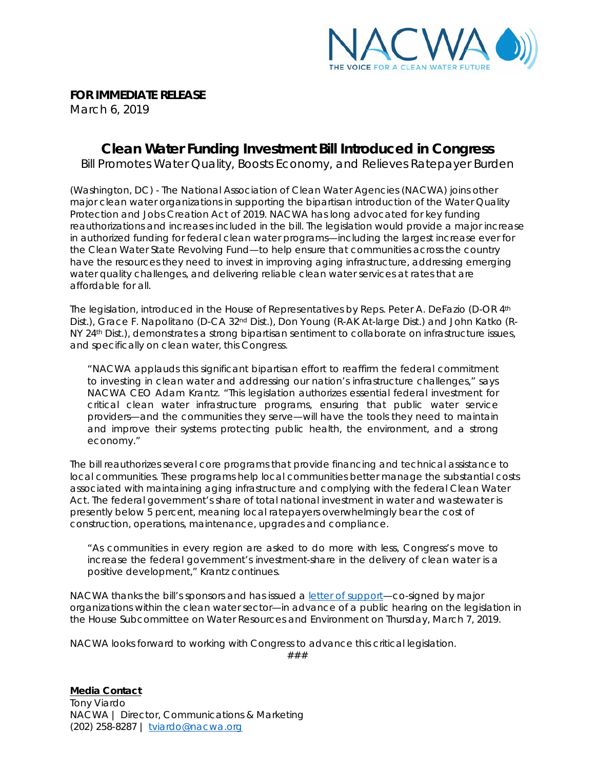

**FOR IMMEDIATE RELEASE**

March 6, 2019

## **Clean Water Funding Investment Bill Introduced in Congress**

*Bill Promotes Water Quality, Boosts Economy, and Relieves Ratepayer Burden*

(Washington, DC) - The National Association of Clean Water Agencies (NACWA) joins other major clean water organizations in supporting the bipartisan introduction of the *Water Quality Protection and Jobs Creation Act of 2019*. NACWA has long advocated for key funding reauthorizations and increases included in the bill. The legislation would provide a major increase in authorized funding for federal clean water programs—including the *largest* increase ever for the Clean Water State Revolving Fund—to help ensure that communities across the country have the resources they need to invest in improving aging infrastructure, addressing emerging water quality challenges, and delivering reliable clean water services at rates that are affordable for all.

The legislation, introduced in the House of Representatives by Reps. Peter A. DeFazio (D-OR 4th Dist.), Grace F. Napolitano (D-CA 32<sup>nd</sup> Dist.), Don Young (R-AK At-large Dist.) and John Katko (R-NY 24th Dist.), demonstrates a strong bipartisan sentiment to collaborate on infrastructure issues, and specifically on *clean water*, this Congress.

"NACWA applauds this significant bipartisan effort to reaffirm the federal commitment to investing in clean water and addressing our nation's infrastructure challenges," says NACWA CEO Adam Krantz. "This legislation authorizes essential federal investment for critical clean water infrastructure programs, ensuring that public water service providers—and the communities they serve—will have the tools they need to maintain and improve their systems protecting public health, the environment, and a strong economy."

The bill reauthorizes several core programs that provide financing and technical assistance to local communities. These programs help local communities better manage the substantial costs associated with maintaining aging infrastructure and complying with the federal Clean Water Act. The federal government's share of total national investment in water and wastewater is presently below 5 percent, meaning local ratepayers overwhelmingly bear the cost of construction, operations, maintenance, upgrades and compliance.

"As communities in every region are asked to do more with less, Congress's move to increase the federal government's investment-share in the delivery of clean water is a positive development," Krantz continues.

NACWA thanks the bill's sponsors and has issued a letter [of support—](http://www.nacwa.org/docs/default-source/news-publications/Press-Releases/nacwa_support-letter_waterqualityprotectionact.pdf?sfvrsn=2)co-signed by major organizations within the clean water sector—in advance of a public hearing on the legislation in the House Subcommittee on Water Resources and Environment on Thursday, March 7, 2019.

NACWA looks forward to working with Congress to advance this critical legislation.